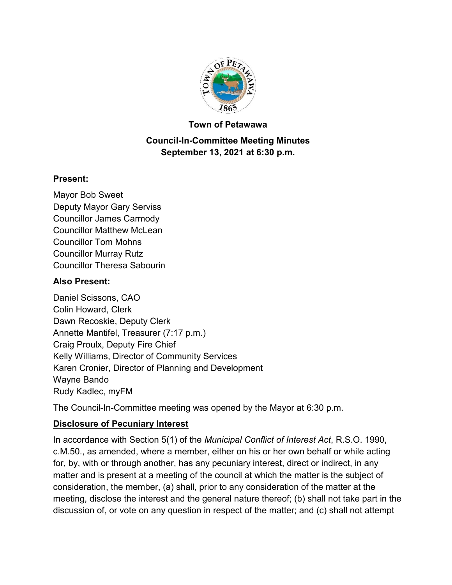

#### **Town of Petawawa**

### **Council-In-Committee Meeting Minutes September 13, 2021 at 6:30 p.m.**

#### **Present:**

Mayor Bob Sweet Deputy Mayor Gary Serviss Councillor James Carmody Councillor Matthew McLean Councillor Tom Mohns Councillor Murray Rutz Councillor Theresa Sabourin

#### **Also Present:**

Daniel Scissons, CAO Colin Howard, Clerk Dawn Recoskie, Deputy Clerk Annette Mantifel, Treasurer (7:17 p.m.) Craig Proulx, Deputy Fire Chief Kelly Williams, Director of Community Services Karen Cronier, Director of Planning and Development Wayne Bando Rudy Kadlec, myFM

The Council-In-Committee meeting was opened by the Mayor at 6:30 p.m.

### **Disclosure of Pecuniary Interest**

In accordance with Section 5(1) of the *Municipal Conflict of Interest Act*, R.S.O. 1990, c.M.50., as amended, where a member, either on his or her own behalf or while acting for, by, with or through another, has any pecuniary interest, direct or indirect, in any matter and is present at a meeting of the council at which the matter is the subject of consideration, the member, (a) shall, prior to any consideration of the matter at the meeting, disclose the interest and the general nature thereof; (b) shall not take part in the discussion of, or vote on any question in respect of the matter; and (c) shall not attempt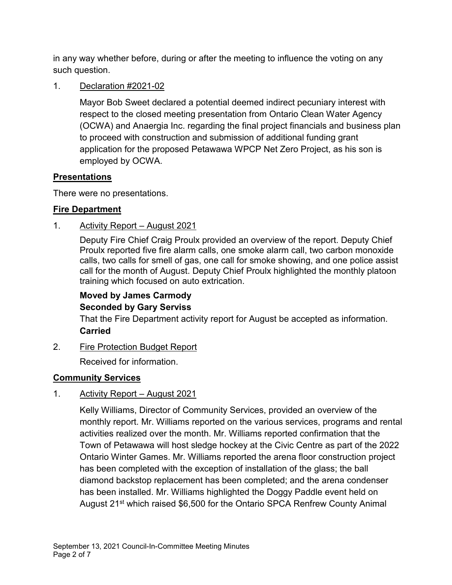in any way whether before, during or after the meeting to influence the voting on any such question.

1. Declaration #2021-02

Mayor Bob Sweet declared a potential deemed indirect pecuniary interest with respect to the closed meeting presentation from Ontario Clean Water Agency (OCWA) and Anaergia Inc. regarding the final project financials and business plan to proceed with construction and submission of additional funding grant application for the proposed Petawawa WPCP Net Zero Project, as his son is employed by OCWA.

### **Presentations**

There were no presentations.

#### **Fire Department**

#### 1. Activity Report – August 2021

Deputy Fire Chief Craig Proulx provided an overview of the report. Deputy Chief Proulx reported five fire alarm calls, one smoke alarm call, two carbon monoxide calls, two calls for smell of gas, one call for smoke showing, and one police assist call for the month of August. Deputy Chief Proulx highlighted the monthly platoon training which focused on auto extrication.

# **Moved by James Carmody Seconded by Gary Serviss**

That the Fire Department activity report for August be accepted as information. **Carried**

2. Fire Protection Budget Report

Received for information.

### **Community Services**

### 1. Activity Report – August 2021

Kelly Williams, Director of Community Services, provided an overview of the monthly report. Mr. Williams reported on the various services, programs and rental activities realized over the month. Mr. Williams reported confirmation that the Town of Petawawa will host sledge hockey at the Civic Centre as part of the 2022 Ontario Winter Games. Mr. Williams reported the arena floor construction project has been completed with the exception of installation of the glass; the ball diamond backstop replacement has been completed; and the arena condenser has been installed. Mr. Williams highlighted the Doggy Paddle event held on August 21<sup>st</sup> which raised \$6,500 for the Ontario SPCA Renfrew County Animal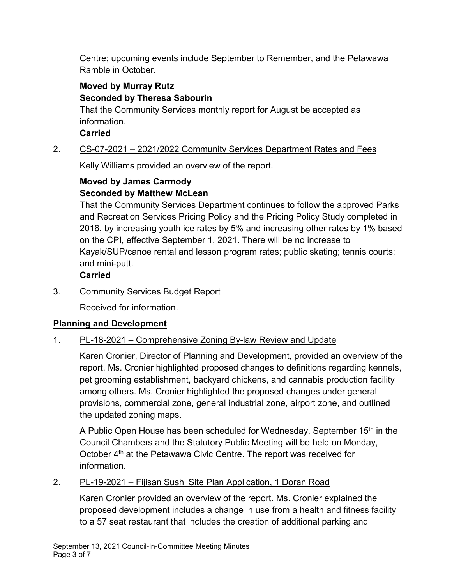Centre; upcoming events include September to Remember, and the Petawawa Ramble in October.

### **Moved by Murray Rutz Seconded by Theresa Sabourin**

That the Community Services monthly report for August be accepted as information.

**Carried**

## 2. CS-07-2021 – 2021/2022 Community Services Department Rates and Fees

Kelly Williams provided an overview of the report.

## **Moved by James Carmody Seconded by Matthew McLean**

That the Community Services Department continues to follow the approved Parks and Recreation Services Pricing Policy and the Pricing Policy Study completed in 2016, by increasing youth ice rates by 5% and increasing other rates by 1% based on the CPI, effective September 1, 2021. There will be no increase to Kayak/SUP/canoe rental and lesson program rates; public skating; tennis courts; and mini-putt.

# **Carried**

3. Community Services Budget Report

Received for information.

# **Planning and Development**

### 1. PL-18-2021 – Comprehensive Zoning By-law Review and Update

Karen Cronier, Director of Planning and Development, provided an overview of the report. Ms. Cronier highlighted proposed changes to definitions regarding kennels, pet grooming establishment, backyard chickens, and cannabis production facility among others. Ms. Cronier highlighted the proposed changes under general provisions, commercial zone, general industrial zone, airport zone, and outlined the updated zoning maps.

A Public Open House has been scheduled for Wednesday, September 15<sup>th</sup> in the Council Chambers and the Statutory Public Meeting will be held on Monday, October 4<sup>th</sup> at the Petawawa Civic Centre. The report was received for information.

### 2. PL-19-2021 – Fijisan Sushi Site Plan Application, 1 Doran Road

Karen Cronier provided an overview of the report. Ms. Cronier explained the proposed development includes a change in use from a health and fitness facility to a 57 seat restaurant that includes the creation of additional parking and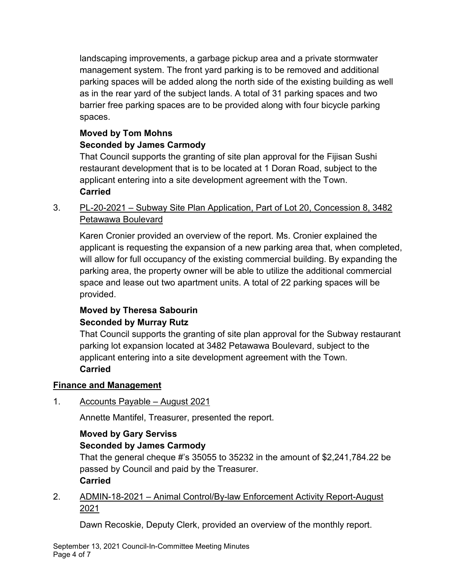landscaping improvements, a garbage pickup area and a private stormwater management system. The front yard parking is to be removed and additional parking spaces will be added along the north side of the existing building as well as in the rear yard of the subject lands. A total of 31 parking spaces and two barrier free parking spaces are to be provided along with four bicycle parking spaces.

# **Moved by Tom Mohns**

# **Seconded by James Carmody**

That Council supports the granting of site plan approval for the Fijisan Sushi restaurant development that is to be located at 1 Doran Road, subject to the applicant entering into a site development agreement with the Town. **Carried**

3. PL-20-2021 – Subway Site Plan Application, Part of Lot 20, Concession 8, 3482 Petawawa Boulevard

Karen Cronier provided an overview of the report. Ms. Cronier explained the applicant is requesting the expansion of a new parking area that, when completed, will allow for full occupancy of the existing commercial building. By expanding the parking area, the property owner will be able to utilize the additional commercial space and lease out two apartment units. A total of 22 parking spaces will be provided.

### **Moved by Theresa Sabourin Seconded by Murray Rutz**

That Council supports the granting of site plan approval for the Subway restaurant parking lot expansion located at 3482 Petawawa Boulevard, subject to the applicant entering into a site development agreement with the Town. **Carried**

# **Finance and Management**

1. Accounts Payable – August 2021

Annette Mantifel, Treasurer, presented the report.

# **Moved by Gary Serviss**

# **Seconded by James Carmody**

That the general cheque #'s 35055 to 35232 in the amount of \$2,241,784.22 be passed by Council and paid by the Treasurer. **Carried**

# 2. ADMIN-18-2021 – Animal Control/By-law Enforcement Activity Report-August 2021

Dawn Recoskie, Deputy Clerk, provided an overview of the monthly report.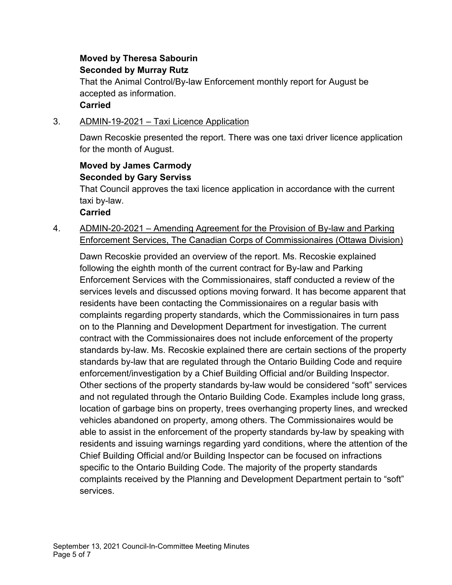# **Moved by Theresa Sabourin Seconded by Murray Rutz**

That the Animal Control/By-law Enforcement monthly report for August be accepted as information.

### **Carried**

#### 3. ADMIN-19-2021 – Taxi Licence Application

Dawn Recoskie presented the report. There was one taxi driver licence application for the month of August.

#### **Moved by James Carmody Seconded by Gary Serviss**

That Council approves the taxi licence application in accordance with the current taxi by-law.

#### **Carried**

4. ADMIN-20-2021 – Amending Agreement for the Provision of By-law and Parking Enforcement Services, The Canadian Corps of Commissionaires (Ottawa Division)

Dawn Recoskie provided an overview of the report. Ms. Recoskie explained following the eighth month of the current contract for By-law and Parking Enforcement Services with the Commissionaires, staff conducted a review of the services levels and discussed options moving forward. It has become apparent that residents have been contacting the Commissionaires on a regular basis with complaints regarding property standards, which the Commissionaires in turn pass on to the Planning and Development Department for investigation. The current contract with the Commissionaires does not include enforcement of the property standards by-law. Ms. Recoskie explained there are certain sections of the property standards by-law that are regulated through the Ontario Building Code and require enforcement/investigation by a Chief Building Official and/or Building Inspector. Other sections of the property standards by-law would be considered "soft" services and not regulated through the Ontario Building Code. Examples include long grass, location of garbage bins on property, trees overhanging property lines, and wrecked vehicles abandoned on property, among others. The Commissionaires would be able to assist in the enforcement of the property standards by-law by speaking with residents and issuing warnings regarding yard conditions, where the attention of the Chief Building Official and/or Building Inspector can be focused on infractions specific to the Ontario Building Code. The majority of the property standards complaints received by the Planning and Development Department pertain to "soft" services.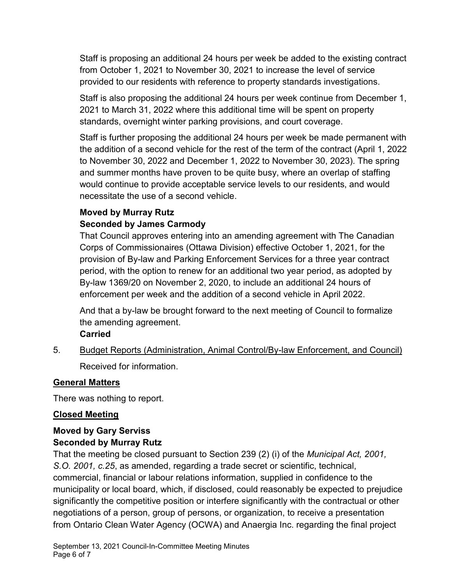Staff is proposing an additional 24 hours per week be added to the existing contract from October 1, 2021 to November 30, 2021 to increase the level of service provided to our residents with reference to property standards investigations.

Staff is also proposing the additional 24 hours per week continue from December 1, 2021 to March 31, 2022 where this additional time will be spent on property standards, overnight winter parking provisions, and court coverage.

Staff is further proposing the additional 24 hours per week be made permanent with the addition of a second vehicle for the rest of the term of the contract (April 1, 2022 to November 30, 2022 and December 1, 2022 to November 30, 2023). The spring and summer months have proven to be quite busy, where an overlap of staffing would continue to provide acceptable service levels to our residents, and would necessitate the use of a second vehicle.

## **Moved by Murray Rutz Seconded by James Carmody**

That Council approves entering into an amending agreement with The Canadian Corps of Commissionaires (Ottawa Division) effective October 1, 2021, for the provision of By-law and Parking Enforcement Services for a three year contract period, with the option to renew for an additional two year period, as adopted by By-law 1369/20 on November 2, 2020, to include an additional 24 hours of enforcement per week and the addition of a second vehicle in April 2022.

And that a by-law be brought forward to the next meeting of Council to formalize the amending agreement.

#### **Carried**

5. Budget Reports (Administration, Animal Control/By-law Enforcement, and Council)

Received for information.

### **General Matters**

There was nothing to report.

#### **Closed Meeting**

# **Moved by Gary Serviss Seconded by Murray Rutz**

That the meeting be closed pursuant to Section 239 (2) (i) of the *Municipal Act, 2001, S.O. 2001, c.25*, as amended, regarding a trade secret or scientific, technical, commercial, financial or labour relations information, supplied in confidence to the municipality or local board, which, if disclosed, could reasonably be expected to prejudice significantly the competitive position or interfere significantly with the contractual or other negotiations of a person, group of persons, or organization, to receive a presentation from Ontario Clean Water Agency (OCWA) and Anaergia Inc. regarding the final project